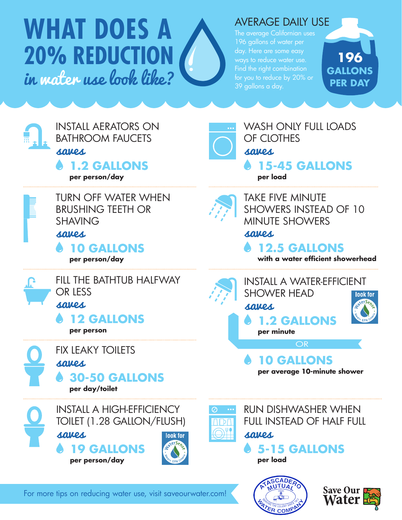# **WHAT DOES A 20% REDUCTION** in water use look like?

#### AVERAGE DAILY USE

The average Californian uses 196 gallons of water per day. Here are some easy ways to reduce water use. Find the right combination for you to reduce by 20% or 39 gallons a day.







WASH ONLY FULL LOADS OF CLOTHES **15-45 GALLONS per load** saves

TURN OFF WATER WHEN BRUSHING TEETH OR SHAVING saves

**10 GALLONS per person/day**









TAKE FIVE MINUTE SHOWERS INSTEAD OF 10 MINUTE SHOWERS saves

**12.5 GALLONS**

**with a water efficient showerhead**





RUN DISHWASHER WHEN FULL INSTEAD OF HALF FULL

**5-15 GALLONS per load**





For more tips on reducing water use, visit saveourwater.com!